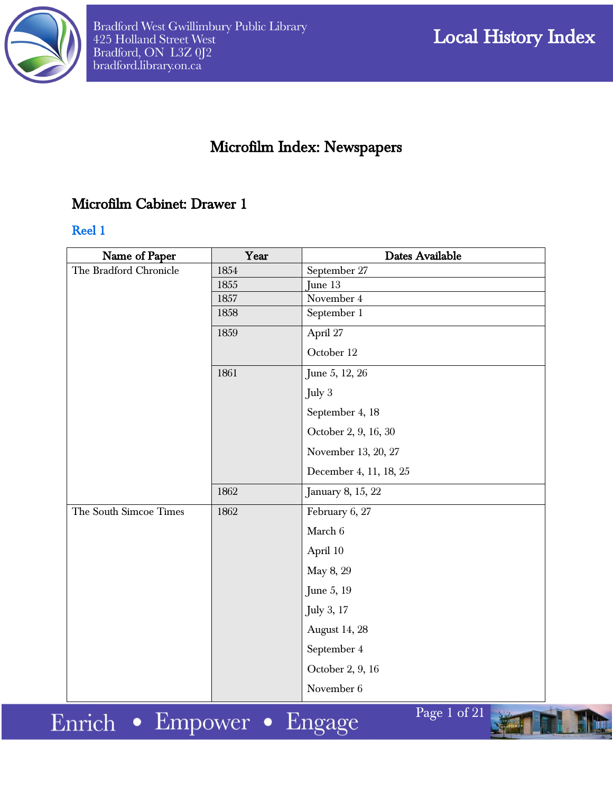

# Microfilm Index: Newspapers

## Microfilm Cabinet: Drawer 1

#### Reel 1

| Name of Paper                      | Year | Dates Available                                      |
|------------------------------------|------|------------------------------------------------------|
| The Bradford Chronicle             | 1854 | September 27                                         |
|                                    | 1855 | June 13                                              |
|                                    | 1857 | November 4                                           |
|                                    | 1858 | September 1                                          |
|                                    | 1859 | April 27                                             |
|                                    |      | October 12                                           |
|                                    | 1861 | June 5, 12, 26                                       |
|                                    |      | July 3                                               |
|                                    |      | September 4, 18                                      |
|                                    |      | October 2, 9, 16, 30                                 |
|                                    |      | November 13, 20, 27                                  |
|                                    |      | December 4, 11, 18, 25                               |
|                                    | 1862 | January 8, 15, 22                                    |
| The South Simcoe Times             | 1862 | February 6, 27                                       |
|                                    |      | March 6                                              |
|                                    |      | April 10                                             |
|                                    |      | May 8, 29                                            |
|                                    |      | June 5, 19                                           |
|                                    |      | July 3, 17                                           |
|                                    |      | <b>August 14, 28</b>                                 |
|                                    |      | September 4                                          |
|                                    |      | October 2, 9, 16                                     |
|                                    |      | November 6                                           |
| $\cdot$ 1.<br>T.<br><b>College</b> |      | $\overline{\text{Page}}$ 1 of 21<br>Side<br><b>D</b> |

Enrich • Empower • Engage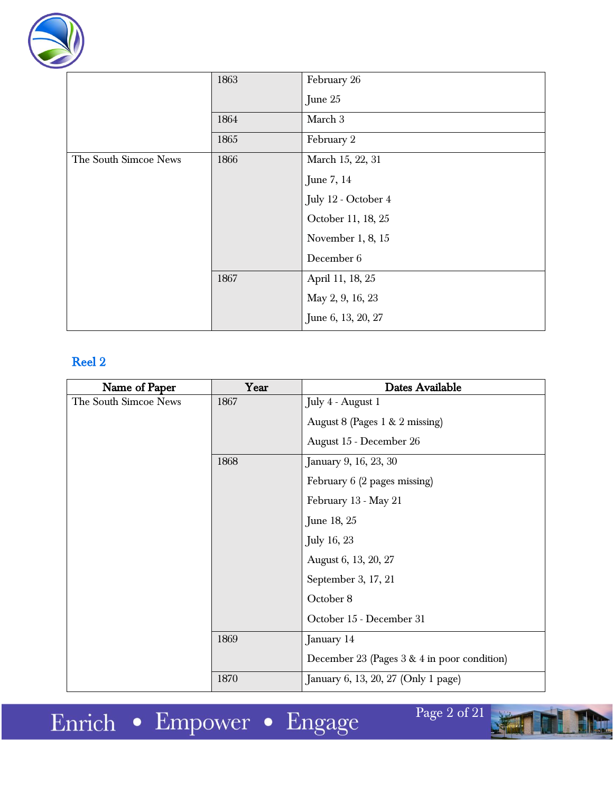

|                       | 1863 | February 26         |
|-----------------------|------|---------------------|
|                       |      | June 25             |
|                       | 1864 | March 3             |
|                       | 1865 | February 2          |
| The South Simcoe News | 1866 | March 15, 22, 31    |
|                       |      | June 7, 14          |
|                       |      | July 12 - October 4 |
|                       |      | October 11, 18, 25  |
|                       |      | November $1, 8, 15$ |
|                       |      | December 6          |
|                       | 1867 | April 11, 18, 25    |
|                       |      | May 2, 9, 16, 23    |
|                       |      | June 6, 13, 20, 27  |

| Name of Paper         | Year | Dates Available                               |
|-----------------------|------|-----------------------------------------------|
| The South Simcoe News | 1867 | July 4 - August 1                             |
|                       |      | August 8 (Pages 1 & 2 missing)                |
|                       |      | August 15 - December 26                       |
|                       | 1868 | January 9, 16, 23, 30                         |
|                       |      | February 6 (2 pages missing)                  |
|                       |      | February 13 - May 21                          |
|                       |      | June 18, 25                                   |
|                       |      | <b>July 16, 23</b>                            |
|                       |      | August 6, 13, 20, 27                          |
|                       |      | September 3, 17, 21                           |
|                       |      | October 8                                     |
|                       |      | October 15 - December 31                      |
|                       | 1869 | January 14                                    |
|                       |      | December 23 (Pages $3 & 4$ in poor condition) |
|                       | 1870 | January 6, 13, 20, 27 (Only 1 page)           |

Enrich • Empower • Engage

Page 2 of 21

Ein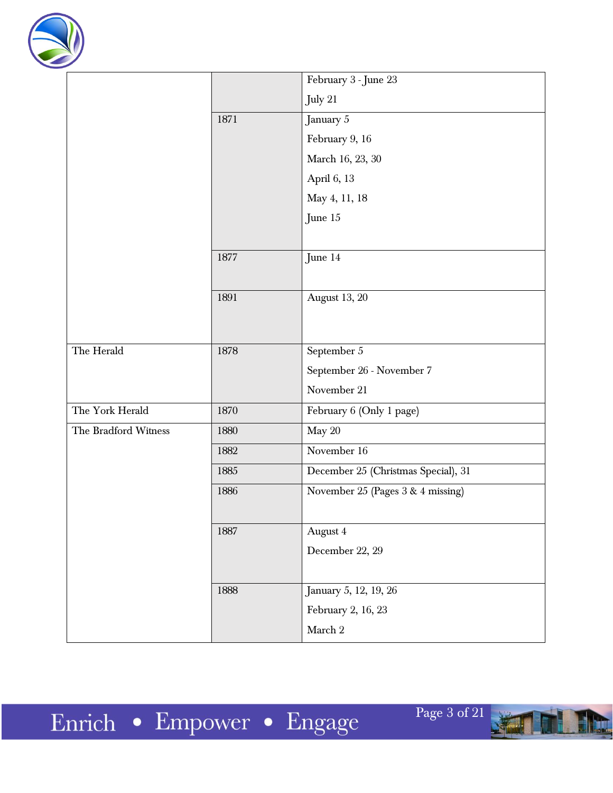

|                      |      | February 3 - June 23                |
|----------------------|------|-------------------------------------|
|                      |      | July 21                             |
|                      | 1871 | January $5\,$                       |
|                      |      | February 9, 16                      |
|                      |      | March 16, 23, 30                    |
|                      |      | April 6, 13                         |
|                      |      | May 4, 11, 18                       |
|                      |      | June 15                             |
|                      |      |                                     |
|                      | 1877 | June 14                             |
|                      |      |                                     |
|                      | 1891 | August 13, 20                       |
|                      |      |                                     |
|                      |      |                                     |
| The Herald           | 1878 | September 5                         |
|                      |      | September 26 - November 7           |
|                      |      | November 21                         |
| The York Herald      | 1870 | February 6 (Only 1 page)            |
| The Bradford Witness | 1880 | May 20                              |
|                      | 1882 | November 16                         |
|                      | 1885 | December 25 (Christmas Special), 31 |
|                      | 1886 | November 25 (Pages 3 & 4 missing)   |
|                      |      |                                     |
|                      | 1887 | August 4                            |
|                      |      | December 22, 29                     |
|                      |      |                                     |
|                      | 1888 | January 5, 12, 19, 26               |
|                      |      | February 2, 16, 23                  |
|                      |      | March $2\,$                         |

١W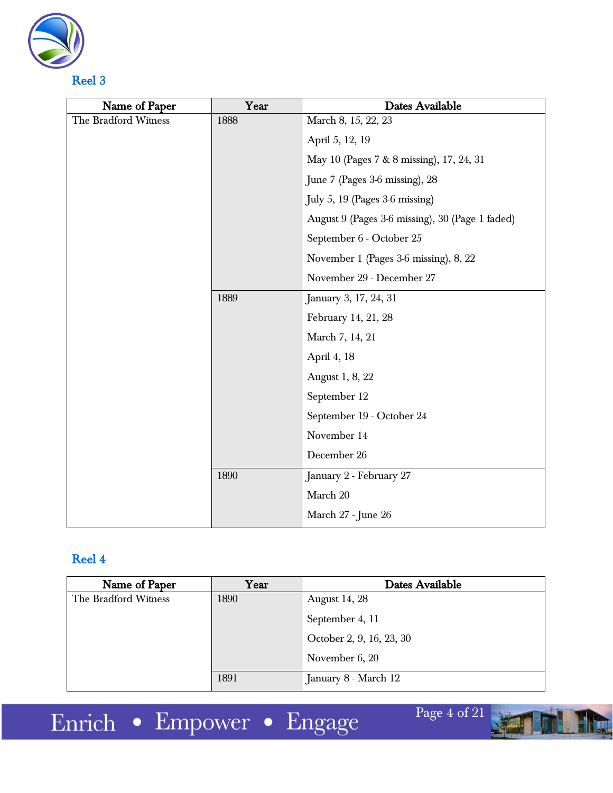

| Name of Paper        | Year | Dates Available                                 |
|----------------------|------|-------------------------------------------------|
| The Bradford Witness | 1888 | March 8, 15, 22, 23                             |
|                      |      | April 5, 12, 19                                 |
|                      |      | May 10 (Pages 7 & 8 missing), 17, 24, 31        |
|                      |      | June 7 (Pages 3-6 missing), 28                  |
|                      |      | July 5, 19 (Pages 3-6 missing)                  |
|                      |      | August 9 (Pages 3-6 missing), 30 (Page 1 faded) |
|                      |      | September 6 - October 25                        |
|                      |      | November 1 (Pages 3-6 missing), 8, 22           |
|                      |      | November 29 - December 27                       |
|                      | 1889 | January 3, 17, 24, 31                           |
|                      |      | February 14, 21, 28                             |
|                      |      | March 7, 14, 21                                 |
|                      |      | April 4, 18                                     |
|                      |      | August 1, 8, 22                                 |
|                      |      | September 12                                    |
|                      |      | September 19 - October 24                       |
|                      |      | November 14                                     |
|                      |      | December 26                                     |
|                      | 1890 | January 2 - February 27                         |
|                      |      | March 20                                        |
|                      |      | March 27 - June 26                              |

| Name of Paper        | Year | Dates Available          |
|----------------------|------|--------------------------|
| The Bradford Witness | 1890 | <b>August 14, 28</b>     |
|                      |      | September 4, 11          |
|                      |      | October 2, 9, 16, 23, 30 |
|                      |      | November 6, 20           |
|                      | 1891 | January 8 - March 12     |

Page 4 of 21

Him

Enrich • Empower • Engage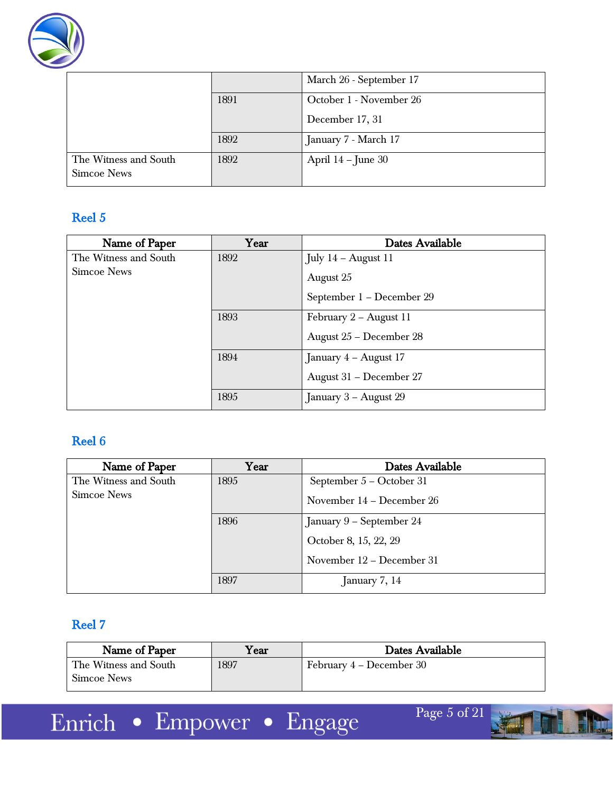

|                                             |      | March 26 - September 17 |
|---------------------------------------------|------|-------------------------|
|                                             | 1891 | October 1 - November 26 |
|                                             |      | December 17, 31         |
|                                             | 1892 | January 7 - March 17    |
| The Witness and South<br><b>Simcoe News</b> | 1892 | April $14$ – June 30    |

| Name of Paper         | Year | Dates Available           |
|-----------------------|------|---------------------------|
| The Witness and South | 1892 | July $14$ – August 11     |
| Simcoe News           |      | August 25                 |
|                       |      | September 1 - December 29 |
|                       | 1893 | February 2 – August 11    |
|                       |      | August 25 - December 28   |
|                       | 1894 | January 4 – August 17     |
|                       |      | August 31 - December 27   |
|                       | 1895 | January $3 -$ August 29   |

## Reel 6

| Name of Paper         | Year | Dates Available           |
|-----------------------|------|---------------------------|
| The Witness and South | 1895 | September 5 – October 31  |
| <b>Simcoe News</b>    |      | November 14 - December 26 |
|                       | 1896 | January 9 - September 24  |
|                       |      | October 8, 15, 22, 29     |
|                       |      | November 12 – December 31 |
|                       | 1897 | January $7, 14$           |

## Reel 7

| Name of Paper                               | ${\rm v_{\rm ear}}$ | Dates Available          |
|---------------------------------------------|---------------------|--------------------------|
| The Witness and South<br><b>Simcoe News</b> | 1897                | February 4 – December 30 |

Enrich • Empower • Engage

Page 5 of 21

Him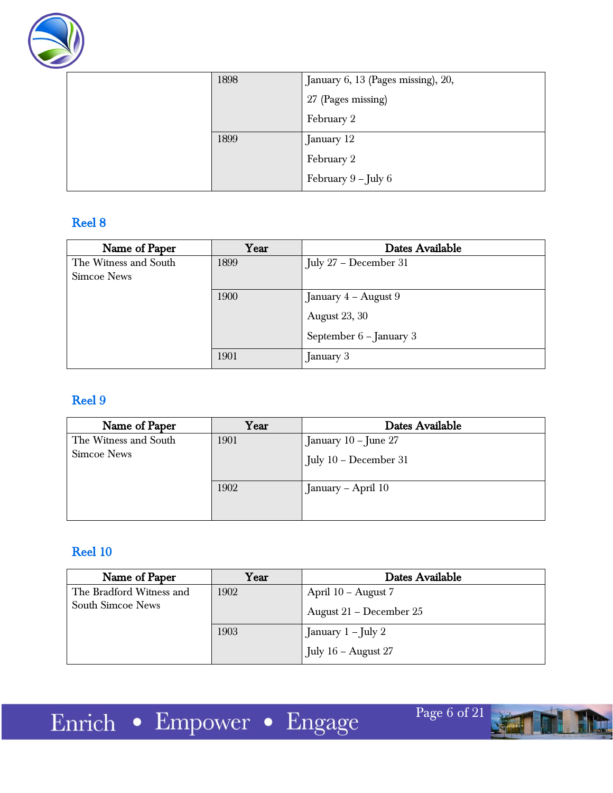

| 1898 | January 6, 13 (Pages missing), 20, |
|------|------------------------------------|
|      | 27 (Pages missing)                 |
|      | February 2                         |
| 1899 | January 12                         |
|      | February 2                         |
|      | February 9 - July 6                |

| Name of Paper         | Year | Dates Available           |
|-----------------------|------|---------------------------|
| The Witness and South | 1899 | July $27 - December 31$   |
| <b>Simcoe News</b>    |      |                           |
|                       | 1900 | January $4 -$ August 9    |
|                       |      | <b>August 23, 30</b>      |
|                       |      | September $6$ – January 3 |
|                       | 1901 | January 3                 |

## Reel 9

| Name of Paper                        | Year | Dates Available                                 |
|--------------------------------------|------|-------------------------------------------------|
| The Witness and South<br>Simcoe News | 1901 | January 10 - June 27<br>July $10$ – December 31 |
|                                      | 1902 | January - April 10                              |

## Reel 10

| Name of Paper            | Year | Dates Available         |
|--------------------------|------|-------------------------|
| The Bradford Witness and | 1902 | April 10 – August 7     |
| <b>South Simcoe News</b> |      | August 21 – December 25 |
|                          | 1903 | January 1 - July 2      |
|                          |      | July $16$ – August 27   |

Page 6 of 21

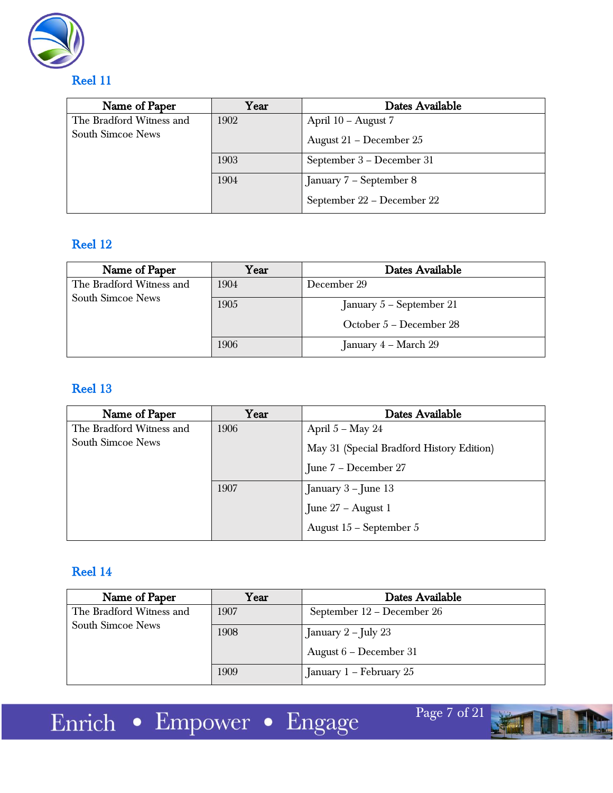

| Name of Paper            | Year | Dates Available            |
|--------------------------|------|----------------------------|
| The Bradford Witness and | 1902 | April 10 - August 7        |
| South Simcoe News        |      | August 21 – December 25    |
|                          | 1903 | September 3 – December 31  |
|                          | 1904 | January 7 – September 8    |
|                          |      | September 22 – December 22 |

## Reel 12

| Name of Paper            | Year | Dates Available          |
|--------------------------|------|--------------------------|
| The Bradford Witness and | 1904 | December 29              |
| <b>South Simcoe News</b> | 1905 | January 5 – September 21 |
|                          |      | October 5 – December 28  |
|                          | 1906 | January 4 – March 29     |

## Reel 13

| Name of Paper            | Year | Dates Available                           |
|--------------------------|------|-------------------------------------------|
| The Bradford Witness and | 1906 | April $5 -$ May 24                        |
| <b>South Simcoe News</b> |      | May 31 (Special Bradford History Edition) |
|                          |      | June 7 – December 27                      |
|                          | 1907 | January 3 – June 13                       |
|                          |      | June 27 - August 1                        |
|                          |      | August 15 - September 5                   |

## Reel 14

| Name of Paper            | Year | Dates Available            |
|--------------------------|------|----------------------------|
| The Bradford Witness and | 1907 | September 12 – December 26 |
| <b>South Simcoe News</b> | 1908 | January $2$ – July 23      |
|                          |      | August 6 – December 31     |
|                          | 1909 | January 1 – February 25    |

Enrich • Empower • Engage

Page 7 of 21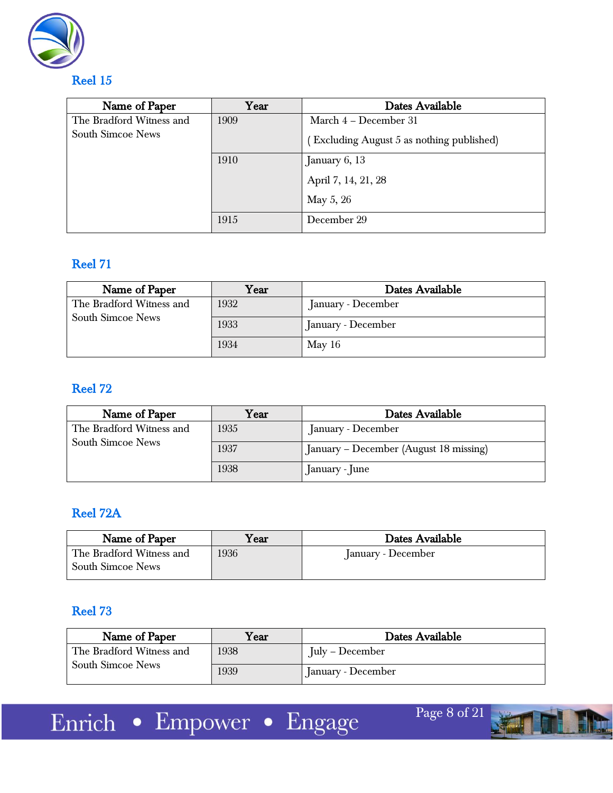

| Name of Paper            | Year | Dates Available                           |
|--------------------------|------|-------------------------------------------|
| The Bradford Witness and | 1909 | March 4 – December 31                     |
| South Simcoe News        |      | (Excluding August 5 as nothing published) |
|                          | 1910 | January 6, 13                             |
|                          |      | April 7, 14, 21, 28                       |
|                          |      | May 5, 26                                 |
|                          | 1915 | December 29                               |

## Reel 71

| Name of Paper            | Year | Dates Available    |
|--------------------------|------|--------------------|
| The Bradford Witness and | 1932 | January - December |
| <b>South Simcoe News</b> | 1933 | January - December |
|                          | 1934 | May $16$           |

## Reel 72

| Name of Paper            | $\operatorname{Year}$ | Dates Available                        |
|--------------------------|-----------------------|----------------------------------------|
| The Bradford Witness and | 1935                  | January - December                     |
| <b>South Simcoe News</b> | 1937                  | January – December (August 18 missing) |
|                          | 1938                  | January - June                         |

## Reel 72A

| Name of Paper            | Year | Dates Available    |
|--------------------------|------|--------------------|
| The Bradford Witness and | 1936 | January - December |
| <b>South Simcoe News</b> |      |                    |

## Reel 73

| Name of Paper            | Year | Dates Available    |
|--------------------------|------|--------------------|
| The Bradford Witness and | 1938 | July – December    |
| <b>South Simcoe News</b> | 1939 | January - December |

Enrich • Empower • Engage

Page 8 of 21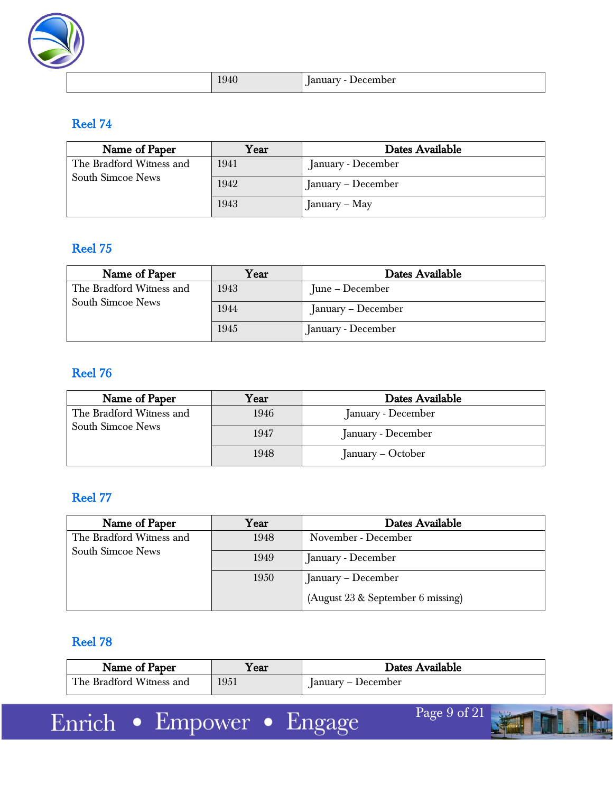

|  | 10T | $\sim$<br>. н.<br><br>. |
|--|-----|-------------------------|
|--|-----|-------------------------|

| Name of Paper                                 | Year | Dates Available    |
|-----------------------------------------------|------|--------------------|
| The Bradford Witness and<br>South Simcoe News | 1941 | January - December |
|                                               | 1942 | January – December |
|                                               | 1943 | January – May      |

### Reel 75

| Name of Paper                                        | $\operatorname{Year}$ | Dates Available    |
|------------------------------------------------------|-----------------------|--------------------|
| The Bradford Witness and<br><b>South Simcoe News</b> | 1943                  | June – December    |
|                                                      | 1944                  | January – December |
|                                                      | 1945                  | January - December |

## Reel 76

| Name of Paper            | Year | Dates Available    |
|--------------------------|------|--------------------|
| The Bradford Witness and | 1946 | January - December |
| <b>South Simcoe News</b> | 1947 | January - December |
|                          | 1948 | January – October  |

## Reel 77

| Name of Paper            | Year | Dates Available                   |
|--------------------------|------|-----------------------------------|
| The Bradford Witness and | 1948 | November - December               |
| South Simcoe News        | 1949 | January - December                |
|                          | 1950 | January – December                |
|                          |      | (August 23 & September 6 missing) |

## Reel 78

| Name of Paper            | ∡ear | Dates Available    |
|--------------------------|------|--------------------|
| The Bradford Witness and | 1951 | January – December |

Enrich • Empower • Engage

Page 9 of 21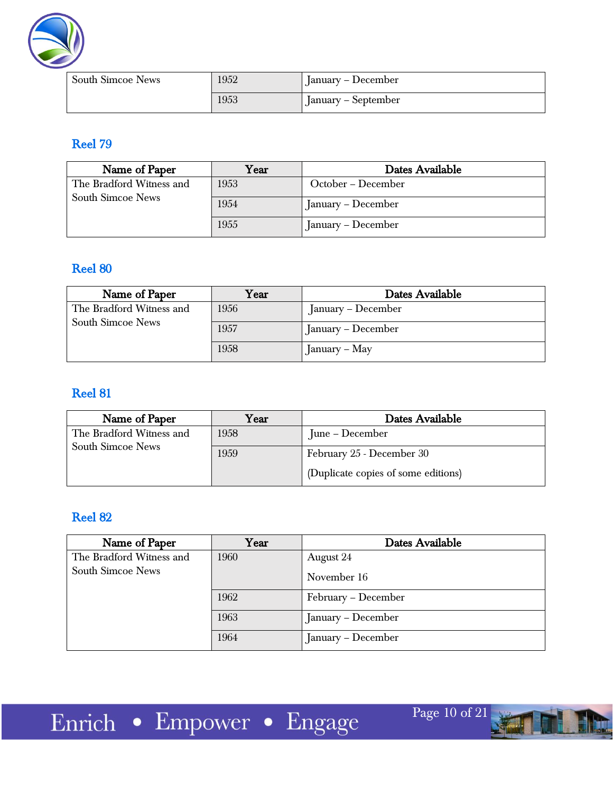

| <b>South Simcoe News</b> | 1952 | January – December  |
|--------------------------|------|---------------------|
|                          | 1953 | January – September |

| Name of Paper            | Year | Dates Available    |
|--------------------------|------|--------------------|
| The Bradford Witness and | 1953 | October – December |
| <b>South Simcoe News</b> | 1954 | January – December |
|                          | 1955 | January – December |

## Reel 80

| Name of Paper            | Year | Dates Available    |
|--------------------------|------|--------------------|
| The Bradford Witness and | 1956 | January – December |
| <b>South Simcoe News</b> | 1957 | January – December |
|                          | 1958 | $J$ anuary – May   |

## Reel 81

| Name of Paper            | $\operatorname{Year}$ | Dates Available                     |
|--------------------------|-----------------------|-------------------------------------|
| The Bradford Witness and | 1958                  | June – December                     |
| <b>South Simcoe News</b> | 1959                  | February 25 - December 30           |
|                          |                       | (Duplicate copies of some editions) |

## Reel 82

| Name of Paper            | Year | Dates Available     |
|--------------------------|------|---------------------|
| The Bradford Witness and | 1960 | August 24           |
| <b>South Simcoe News</b> |      | November 16         |
|                          | 1962 | February – December |
|                          | 1963 | January – December  |
|                          | 1964 | January – December  |

Page 10 of 21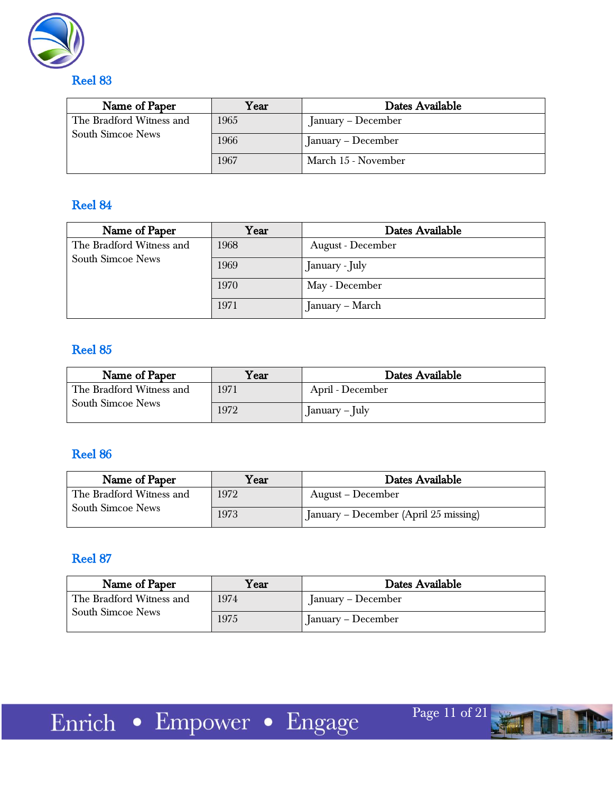

| Name of Paper                                        | Year | Dates Available     |
|------------------------------------------------------|------|---------------------|
| The Bradford Witness and<br><b>South Simcoe News</b> | 1965 | January – December  |
|                                                      | 1966 | January – December  |
|                                                      | 1967 | March 15 - November |

| Name of Paper                                        | Year | Dates Available   |
|------------------------------------------------------|------|-------------------|
| The Bradford Witness and<br><b>South Simcoe News</b> | 1968 | August - December |
|                                                      | 1969 | January - July    |
|                                                      | 1970 | May - December    |
|                                                      | 1971 | January – March   |

## Reel 85

| Name of Paper            | $\rm{Year}$ | Dates Available      |
|--------------------------|-------------|----------------------|
| The Bradford Witness and | 1971        | April - December     |
| <b>South Simcoe News</b> | 1972        | $[$ anuary – $[$ uly |

## Reel 86

| Name of Paper            | $\rm Year$ | Dates Available                       |
|--------------------------|------------|---------------------------------------|
| The Bradford Witness and | 1972       | August – December                     |
| <b>South Simcoe News</b> | 1973       | January – December (April 25 missing) |

### Reel 87

| Name of Paper                                 | ${\rm \textbf{Year}}$ | Dates Available    |
|-----------------------------------------------|-----------------------|--------------------|
| The Bradford Witness and<br>South Simcoe News | 1974                  | January – December |
|                                               | 1975                  | January – December |

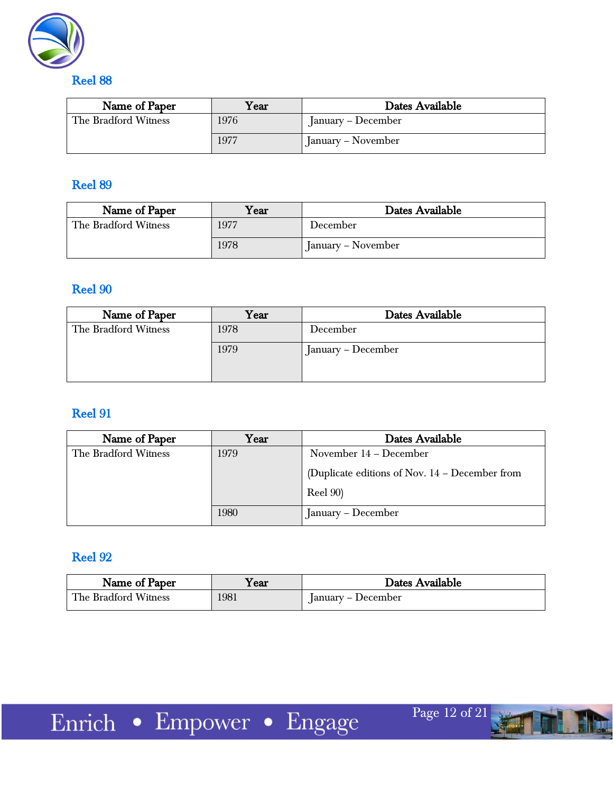

| Name of Paper        | Year | Dates Available    |
|----------------------|------|--------------------|
| The Bradford Witness | 1976 | January – December |
|                      | 1977 | January – November |

| Name of Paper        | $\rm Year$ | Dates Available    |
|----------------------|------------|--------------------|
| The Bradford Witness | 1977       | December           |
|                      | 1978       | January – November |

## Reel 90

| Name of Paper        | $\operatorname{Year}$ | Dates Available    |
|----------------------|-----------------------|--------------------|
| The Bradford Witness | 1978                  | December           |
|                      | 1979                  | January – December |

## Reel 91

| Name of Paper        | Year | Dates Available                                  |
|----------------------|------|--------------------------------------------------|
| The Bradford Witness | 1979 | November 14 – December                           |
|                      |      | (Duplicate editions of Nov. $14 -$ December from |
|                      |      | <b>Reel 90)</b>                                  |
|                      | 1980 | January – December                               |

## Reel 92

| Name of Paper        | í ear | Dates Available    |
|----------------------|-------|--------------------|
| The Bradford Witness | 1981  | January – December |

Page 12 of 21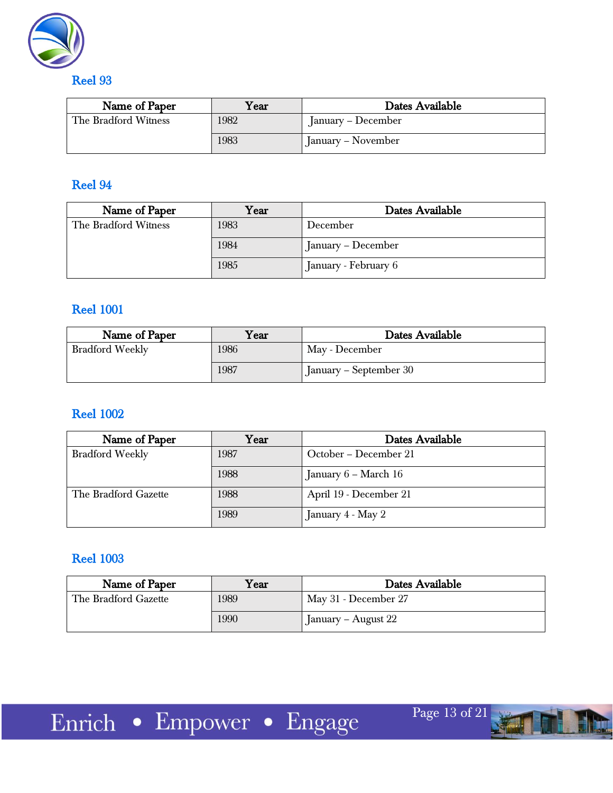

| Name of Paper        | Year | Dates Available    |
|----------------------|------|--------------------|
| The Bradford Witness | 1982 | January – December |
|                      | 1983 | January – November |

| Name of Paper        | Year | Dates Available      |
|----------------------|------|----------------------|
| The Bradford Witness | 1983 | December             |
|                      | 1984 | January – December   |
|                      | 1985 | January - February 6 |

#### Reel 1001

| Name of Paper          | $\gamma_{\rm ear}$ | Dates Available        |
|------------------------|--------------------|------------------------|
| <b>Bradford Weekly</b> | 1986               | May - December         |
|                        | 1987               | January – September 30 |

#### Reel 1002

| Name of Paper          | Year | Dates Available        |
|------------------------|------|------------------------|
| <b>Bradford Weekly</b> | 1987 | October – December 21  |
|                        | 1988 | January $6$ – March 16 |
| The Bradford Gazette   | 1988 | April 19 - December 21 |
|                        | 1989 | January $4$ - May $2$  |

### Reel 1003

| Name of Paper        | Year | Dates Available      |
|----------------------|------|----------------------|
| The Bradford Gazette | 1989 | May 31 - December 27 |
|                      | 1990 | January – August 22  |

Page 13 of 21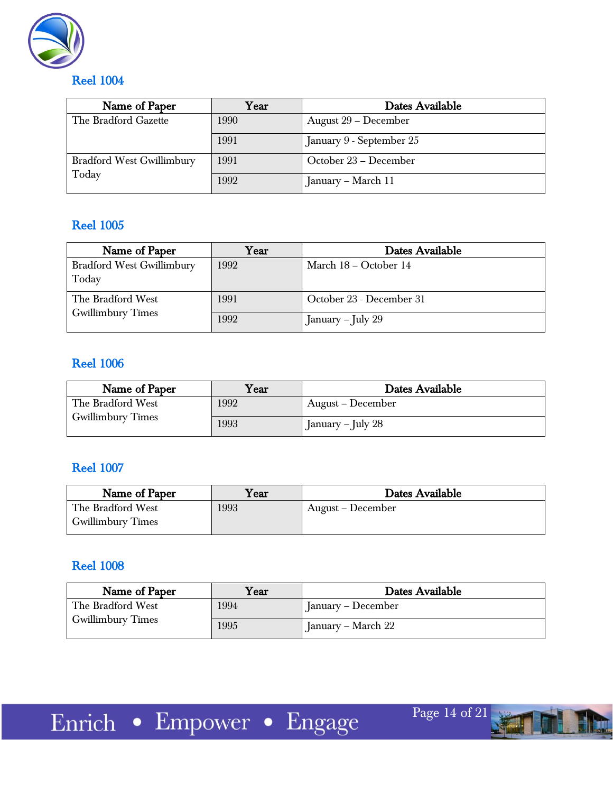

| Name of Paper                             | Year | Dates Available          |
|-------------------------------------------|------|--------------------------|
| The Bradford Gazette                      | 1990 | August 29 – December     |
|                                           | 1991 | January 9 - September 25 |
| <b>Bradford West Gwillimbury</b><br>Today | 1991 | October 23 – December    |
|                                           | 1992 | January – March 11       |

## Reel 1005

| Name of Paper                             | Year | Dates Available          |
|-------------------------------------------|------|--------------------------|
| <b>Bradford West Gwillimbury</b><br>Today | 1992 | March $18 - October 14$  |
| The Bradford West                         | 1991 | October 23 - December 31 |
| <b>Gwillimbury Times</b>                  | 1992 | January – July 29        |

## Reel 1006

| Name of Paper            | Year | Dates Available                  |
|--------------------------|------|----------------------------------|
| The Bradford West        | 1992 | August – December                |
| <b>Gwillimbury Times</b> | 1993 | $\blacksquare$ [anuary – July 28 |

#### Reel 1007

| Name of Paper            | Year | Dates Available     |
|--------------------------|------|---------------------|
| The Bradford West        | 1993 | ' August – December |
| <b>Gwillimbury Times</b> |      |                     |

#### Reel 1008

| Name of Paper             | Year | Dates Available    |
|---------------------------|------|--------------------|
| 1994<br>The Bradford West |      | January – December |
| <b>Gwillimbury Times</b>  | 1995 | January – March 22 |

Page 14 of 21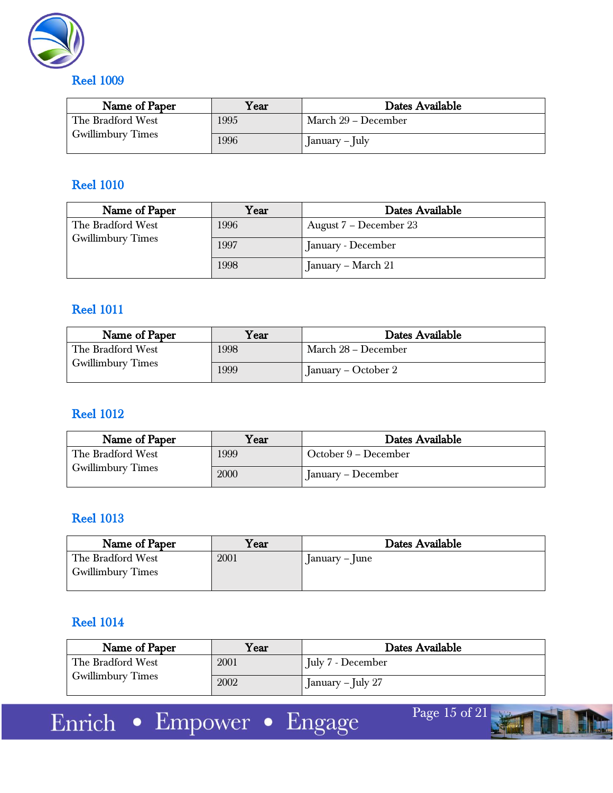

| Name of Paper             | $\rm Year$ | Dates Available     |
|---------------------------|------------|---------------------|
| 1995<br>The Bradford West |            | March 29 – December |
| <b>Gwillimbury Times</b>  | 1996       | January – July      |

| Name of Paper            | Year | Dates Available        |
|--------------------------|------|------------------------|
| The Bradford West        | 1996 | August 7 – December 23 |
| <b>Gwillimbury Times</b> | 1997 | January - December     |
|                          | 1998 | January – March 21     |

#### Reel 1011

| Name of Paper            | Year | Dates Available     |
|--------------------------|------|---------------------|
| The Bradford West        | 1998 | March 28 – December |
| <b>Gwillimbury Times</b> | 1999 | January – October 2 |

#### Reel 1012

| Name of Paper            | Year | Dates Available      |
|--------------------------|------|----------------------|
| The Bradford West        | 1999 | October 9 – December |
| <b>Gwillimbury Times</b> | 2000 | January – December   |

#### Reel 1013

| Name of Paper                                 | $\rm Year$ | Dates Available      |
|-----------------------------------------------|------------|----------------------|
| The Bradford West<br><b>Gwillimbury Times</b> | 2001       | $ $ anuary – $ $ une |

### Reel 1014

| Name of Paper            | Year | Dates Available   |
|--------------------------|------|-------------------|
| The Bradford West        | 2001 | July 7 - December |
| <b>Gwillimbury Times</b> | 2002 | January – July 27 |

Enrich • Empower • Engage

Page 15 of 21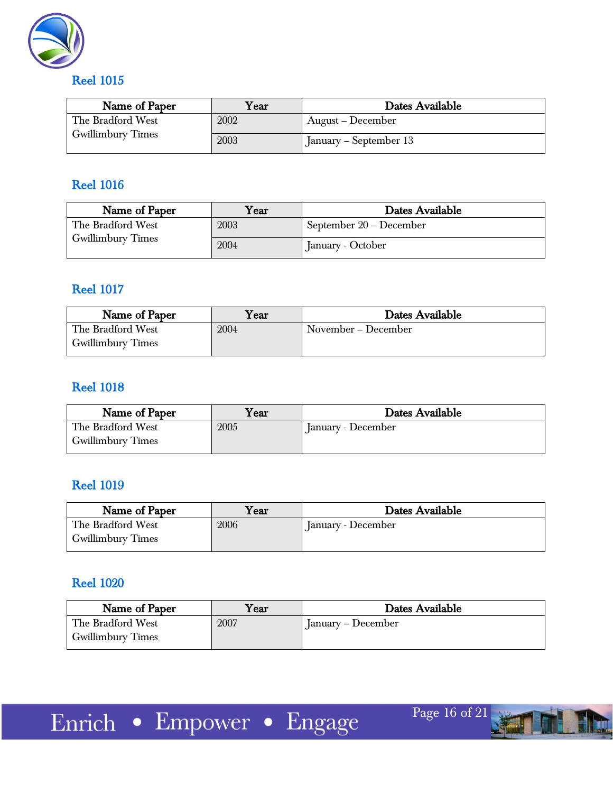

| Name of Paper            | Year | Dates Available        |
|--------------------------|------|------------------------|
| The Bradford West        | 2002 | August – December      |
| <b>Gwillimbury Times</b> | 2003 | January – September 13 |

| Name of Paper            | $\rm {Year}$ | Dates Available         |
|--------------------------|--------------|-------------------------|
| The Bradford West        | 2003         | September 20 – December |
| <b>Gwillimbury Times</b> | 2004         | January - October       |

#### Reel 1017

| Name of Paper                                 | $\rm{Year}$ | Dates Available     |
|-----------------------------------------------|-------------|---------------------|
| The Bradford West<br><b>Gwillimbury Times</b> | 2004        | November – December |

#### Reel 1018

| Name of Paper     | Year | Dates Available    |
|-------------------|------|--------------------|
| The Bradford West | 2005 | January - December |
| Gwillimbury Times |      |                    |

#### Reel 1019

| Name of Paper                                 | ${\rm Year}$ | Dates Available    |
|-----------------------------------------------|--------------|--------------------|
| The Bradford West<br><b>Gwillimbury Times</b> | 2006         | January - December |

#### Reel 1020

| Name of Paper                                 | $^{\rm V}$ ear | Dates Available    |
|-----------------------------------------------|----------------|--------------------|
| The Bradford West<br><b>Gwillimbury Times</b> | 2007           | January – December |

Page 16 of 21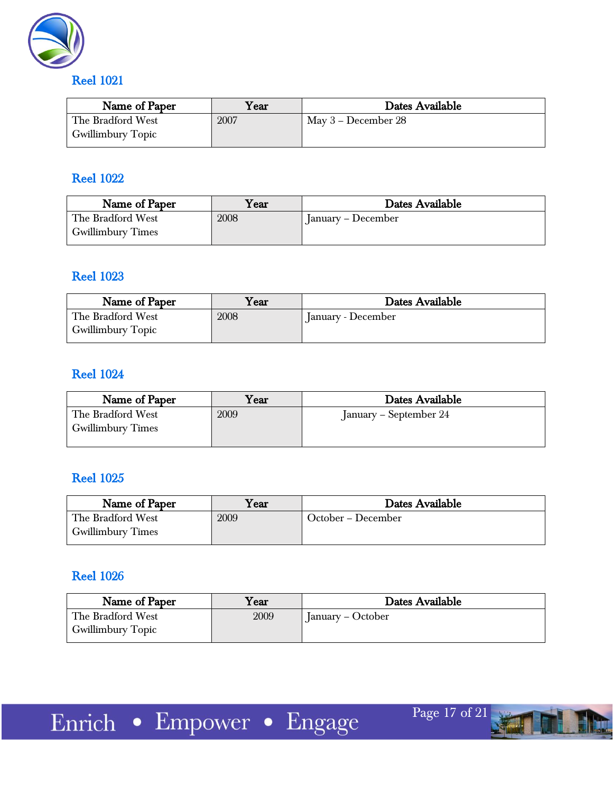

| Name of Paper            | $\rm Year$ | Dates Available       |
|--------------------------|------------|-----------------------|
| The Bradford West        | 2007       | May $3$ – December 28 |
| <b>Gwillimbury Topic</b> |            |                       |

#### Reel 1022

| Name of Paper                          | Year | Dates Available    |
|----------------------------------------|------|--------------------|
| The Bradford West<br>Gwillimbury Times | 2008 | January – December |

#### Reel 1023

| Name of Paper     | $\operatorname{Year}$ | Dates Available    |
|-------------------|-----------------------|--------------------|
| The Bradford West | 2008                  | January - December |
| Gwillimbury Topic |                       |                    |

#### Reel 1024

| Name of Paper                                 | Year | Dates Available        |
|-----------------------------------------------|------|------------------------|
| The Bradford West<br><b>Gwillimbury Times</b> | 2009 | January – September 24 |

#### Reel 1025

| Name of Paper            | ${\rm v_{\rm ear}}$ | Dates Available    |
|--------------------------|---------------------|--------------------|
| The Bradford West        | 2009                | October – December |
| <b>Gwillimbury Times</b> |                     |                    |

## Reel 1026

| Name of Paper     | Year | Dates Available   |
|-------------------|------|-------------------|
| The Bradford West | 2009 | January – October |
| Gwillimbury Topic |      |                   |

Page 17 of 21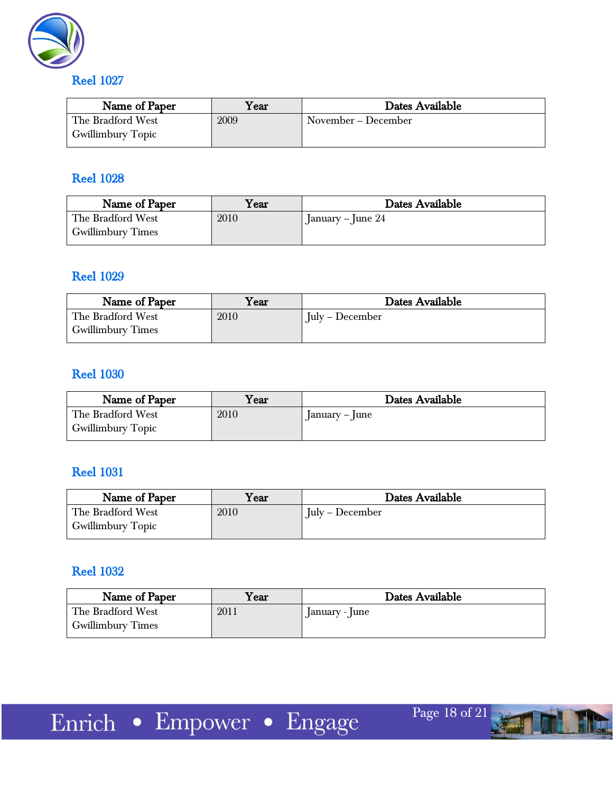

Name of Paper  $\parallel$  Year  $\parallel$  Dates Available The Bradford West Gwillimbury Topic 2009 November – December

## Reel 1028

| Name of Paper                                 | Year | Dates Available     |
|-----------------------------------------------|------|---------------------|
| The Bradford West<br><b>Gwillimbury Times</b> | 2010 | January – June $24$ |

#### Reel 1029

| Name of Paper            | $\boldsymbol{\mathrm{Year}}$ | Dates Available                     |
|--------------------------|------------------------------|-------------------------------------|
| The Bradford West        | 2010                         | $\mathrm{July} - \mathrm{December}$ |
| <b>Gwillimbury Times</b> |                              |                                     |

#### Reel 1030

| Name of Paper                                 | $\mathrm{Year}$ | Dates Available                |
|-----------------------------------------------|-----------------|--------------------------------|
| The Bradford West<br><b>Gwillimbury Topic</b> | 2010            | $\lceil$ anuary – $\lceil$ une |

#### Reel 1031

| Name of Paper            | $\rm {Year}$ | Dates Available |
|--------------------------|--------------|-----------------|
| The Bradford West        | 2010         | July – December |
| <b>Gwillimbury Topic</b> |              |                 |

## Reel 1032

| Name of Paper                                 | Year | Dates Available |
|-----------------------------------------------|------|-----------------|
| The Bradford West<br><b>Gwillimbury Times</b> | 2011 | January - June  |

Page 18 of 21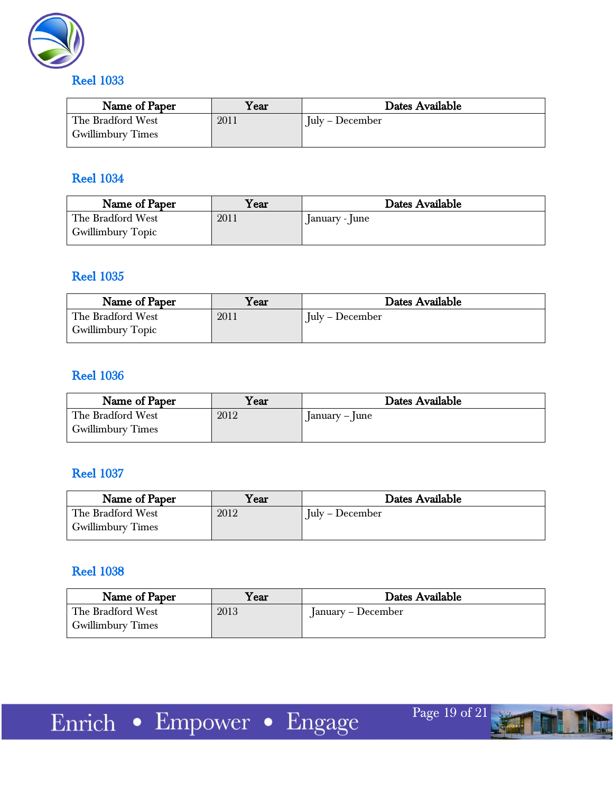

| Name of Paper                                 | $\rm{Year}$ | Dates Available |
|-----------------------------------------------|-------------|-----------------|
| The Bradford West<br><b>Gwillimbury Times</b> | 2011        | July – December |
|                                               |             |                 |

#### Reel 1034

| Year | Dates Available |
|------|-----------------|
| 2011 | anuary - June   |
|      |                 |

#### Reel 1035

| Name of Paper            | $\boldsymbol{\mathrm{Year}}$ | Dates Available        |
|--------------------------|------------------------------|------------------------|
| The Bradford West        | 2011                         | $\int$ July – December |
| <b>Gwillimbury Topic</b> |                              |                        |

#### Reel 1036

| Name of Paper            | $\rm Year$ | Dates Available                |
|--------------------------|------------|--------------------------------|
| The Bradford West        | 2012       | $\lceil$ anuary – $\lceil$ une |
| <b>Gwillimbury Times</b> |            |                                |

#### Reel 1037

| Name of Paper            | l ear | Dates Available |
|--------------------------|-------|-----------------|
| The Bradford West        | 2012  | July – December |
| <b>Gwillimbury Times</b> |       |                 |

#### Reel 1038

| Name of Paper                                 | ${\rm \textbf{Year}}$ | Dates Available    |
|-----------------------------------------------|-----------------------|--------------------|
| The Bradford West<br><b>Gwillimbury Times</b> | 2013                  | [anuary – December |



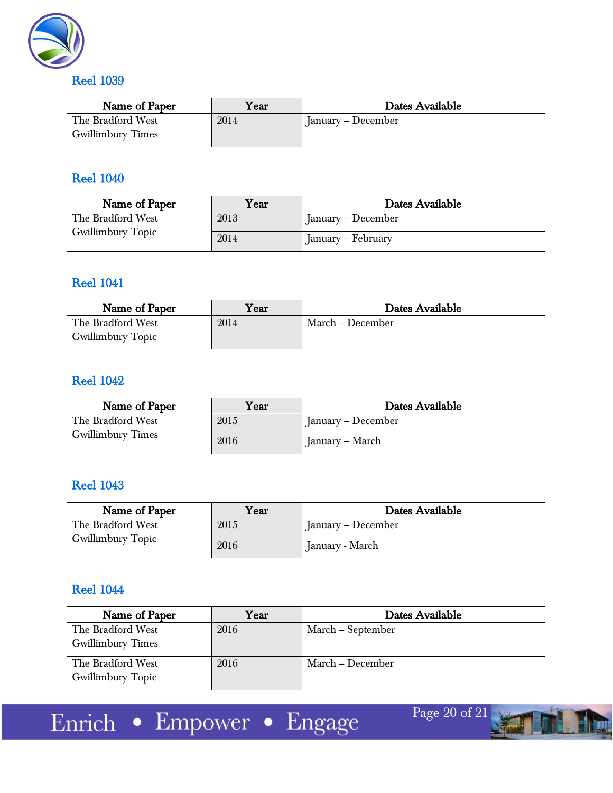

| $\mathrm{Year}$ | Dates Available    |
|-----------------|--------------------|
| 2014            | January – December |
|                 |                    |

#### Reel 1040

| Name of Paper                          | $\rm Year$ | Dates Available      |
|----------------------------------------|------------|----------------------|
| The Bradford West<br>Gwillimbury Topic | 2013       | January – December   |
|                                        | 2014       | " January – February |

#### Reel 1041

| Name of Paper            | ${\bf v_{ear}}$ | Dates Available  |
|--------------------------|-----------------|------------------|
| The Bradford West        | 2014            | March – December |
| <b>Gwillimbury Topic</b> |                 |                  |

## Reel 1042

| Name of Paper                                 | Year | Dates Available    |
|-----------------------------------------------|------|--------------------|
| The Bradford West<br><b>Gwillimbury Times</b> | 2015 | January – December |
|                                               | 2016 | January – March    |

#### Reel 1043

| Name of Paper                                 | Year | Dates Available      |
|-----------------------------------------------|------|----------------------|
| The Bradford West<br><b>Gwillimbury Topic</b> | 2015 | ' January – December |
|                                               | 2016 | January - March      |

#### Reel 1044

| Name of Paper            | Year | Dates Available   |
|--------------------------|------|-------------------|
| The Bradford West        | 2016 | March – September |
| <b>Gwillimbury Times</b> |      |                   |
| The Bradford West        | 2016 | March – December  |
| <b>Gwillimbury Topic</b> |      |                   |